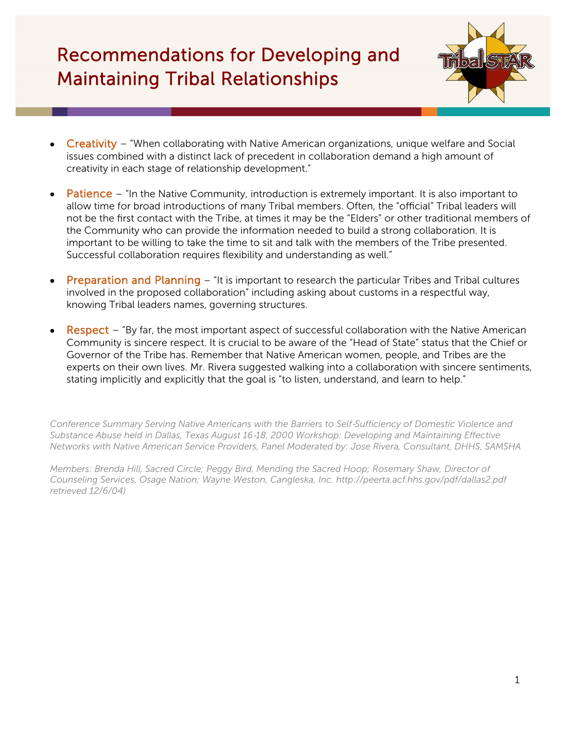# Recommendations for Developing and Maintaining Tribal Relationships



- Creativity "When collaborating with Native American organizations, unique welfare and Social issues combined with a distinct lack of precedent in collaboration demand a high amount of creativity in each stage of relationship development."
- Patience "In the Native Community, introduction is extremely important. It is also important to allow time for broad introductions of many Tribal members. Often, the "official" Tribal leaders will not be the first contact with the Tribe, at times it may be the "Elders" or other traditional members of the Community who can provide the information needed to build a strong collaboration. It is important to be willing to take the time to sit and talk with the members of the Tribe presented. Successful collaboration requires flexibility and understanding as well."
- Preparation and Planning "It is important to research the particular Tribes and Tribal cultures involved in the proposed collaboration" including asking about customs in a respectful way, knowing Tribal leaders names, governing structures.
- Respect "By far, the most important aspect of successful collaboration with the Native American Community is sincere respect. It is crucial to be aware of the "Head of State" status that the Chief or Governor of the Tribe has. Remember that Native American women, people, and Tribes are the experts on their own lives. Mr. Rivera suggested walking into a collaboration with sincere sentiments, stating implicitly and explicitly that the goal is "to listen, understand, and learn to help."

*Conference Summary Serving Native Americans with the Barriers to Self*‐*Sufficiency of Domestic Violence and Substance Abuse held in Dallas, Texas August 16*‐*18, 2000 Workshop: Developing and Maintaining Effective Networks with Native American Service Providers, Panel Moderated by: Jose Rivera, Consultant, DHHS, SAMSHA*

*Members: Brenda Hill, Sacred Circle; Peggy Bird, Mending the Sacred Hoop; Rosemary Shaw, Director of Counseling Services, Osage Nation; Wayne Weston, Cangleska, Inc. http://peerta.acf.hhs.gov/pdf/dallas2.pdf retrieved 12/6/04)*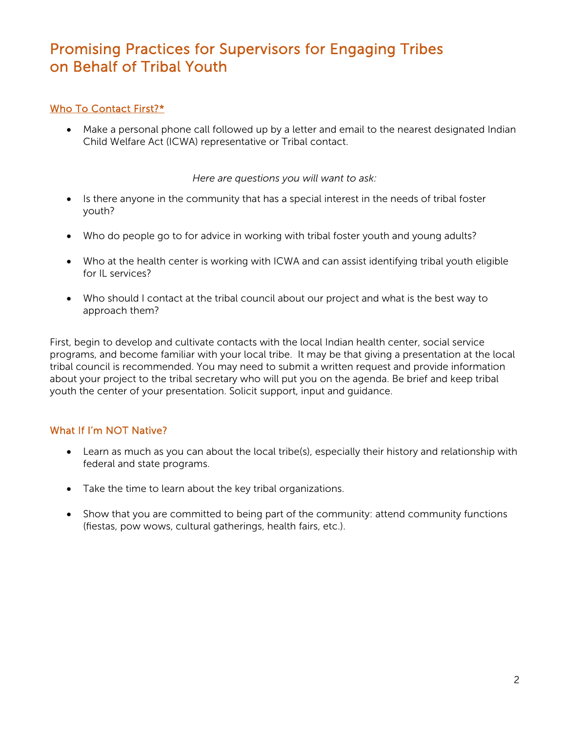# Promising Practices for Supervisors for Engaging Tribes on Behalf of Tribal Youth

## Who To Contact First?\*

• Make a personal phone call followed up by a letter and email to the nearest designated Indian Child Welfare Act (ICWA) representative or Tribal contact.

*Here are questions you will want to ask:*

- Is there anyone in the community that has a special interest in the needs of tribal foster youth?
- Who do people go to for advice in working with tribal foster youth and young adults?
- Who at the health center is working with ICWA and can assist identifying tribal youth eligible for IL services?
- Who should I contact at the tribal council about our project and what is the best way to approach them?

First, begin to develop and cultivate contacts with the local Indian health center, social service programs, and become familiar with your local tribe. It may be that giving a presentation at the local tribal council is recommended. You may need to submit a written request and provide information about your project to the tribal secretary who will put you on the agenda. Be brief and keep tribal youth the center of your presentation. Solicit support, input and guidance.

# What If I'm NOT Native?

- Learn as much as you can about the local tribe(s), especially their history and relationship with federal and state programs.
- Take the time to learn about the key tribal organizations.
- Show that you are committed to being part of the community: attend community functions (fiestas, pow wows, cultural gatherings, health fairs, etc.).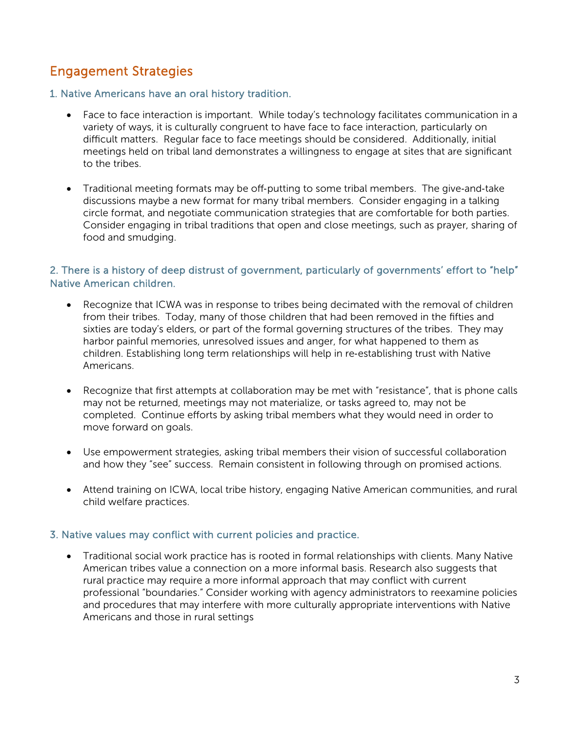# Engagement Strategies

#### 1. Native Americans have an oral history tradition.

- Face to face interaction is important. While today's technology facilitates communication in a variety of ways, it is culturally congruent to have face to face interaction, particularly on difficult matters. Regular face to face meetings should be considered. Additionally, initial meetings held on tribal land demonstrates a willingness to engage at sites that are significant to the tribes.
- Traditional meeting formats may be off-putting to some tribal members. The give-and-take discussions maybe a new format for many tribal members. Consider engaging in a talking circle format, and negotiate communication strategies that are comfortable for both parties. Consider engaging in tribal traditions that open and close meetings, such as prayer, sharing of food and smudging.

### 2. There is a history of deep distrust of government, particularly of governments' effort to "help" Native American children.

- Recognize that ICWA was in response to tribes being decimated with the removal of children from their tribes. Today, many of those children that had been removed in the fifties and sixties are today's elders, or part of the formal governing structures of the tribes. They may harbor painful memories, unresolved issues and anger, for what happened to them as children. Establishing long term relationships will help in re-establishing trust with Native Americans.
- Recognize that first attempts at collaboration may be met with "resistance", that is phone calls may not be returned, meetings may not materialize, or tasks agreed to, may not be completed. Continue efforts by asking tribal members what they would need in order to move forward on goals.
- Use empowerment strategies, asking tribal members their vision of successful collaboration and how they "see" success. Remain consistent in following through on promised actions.
- Attend training on ICWA, local tribe history, engaging Native American communities, and rural child welfare practices.

### 3. Native values may conflict with current policies and practice.

• Traditional social work practice has is rooted in formal relationships with clients. Many Native American tribes value a connection on a more informal basis. Research also suggests that rural practice may require a more informal approach that may conflict with current professional "boundaries." Consider working with agency administrators to reexamine policies and procedures that may interfere with more culturally appropriate interventions with Native Americans and those in rural settings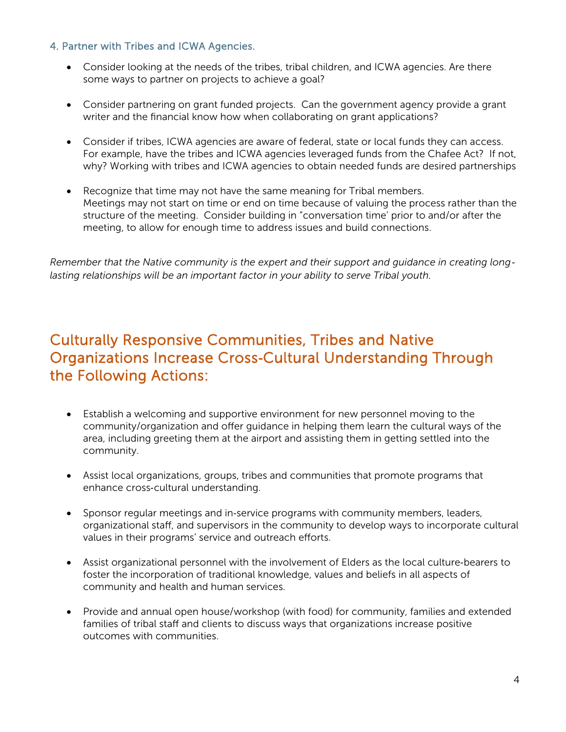### 4. Partner with Tribes and ICWA Agencies.

- Consider looking at the needs of the tribes, tribal children, and ICWA agencies. Are there some ways to partner on projects to achieve a goal?
- Consider partnering on grant funded projects. Can the government agency provide a grant writer and the financial know how when collaborating on grant applications?
- Consider if tribes, ICWA agencies are aware of federal, state or local funds they can access. For example, have the tribes and ICWA agencies leveraged funds from the Chafee Act? If not, why? Working with tribes and ICWA agencies to obtain needed funds are desired partnerships
- Recognize that time may not have the same meaning for Tribal members. Meetings may not start on time or end on time because of valuing the process rather than the structure of the meeting. Consider building in "conversation time' prior to and/or after the meeting, to allow for enough time to address issues and build connections.

*Remember that the Native community is the expert and their support and guidance in creating long*‐ *lasting relationships will be an important factor in your ability to serve Tribal youth.*

# Culturally Responsive Communities, Tribes and Native Organizations Increase Cross‐Cultural Understanding Through the Following Actions:

- Establish a welcoming and supportive environment for new personnel moving to the community/organization and offer guidance in helping them learn the cultural ways of the area, including greeting them at the airport and assisting them in getting settled into the community.
- Assist local organizations, groups, tribes and communities that promote programs that enhance cross-cultural understanding.
- Sponsor regular meetings and in-service programs with community members, leaders, organizational staff, and supervisors in the community to develop ways to incorporate cultural values in their programs' service and outreach efforts.
- Assist organizational personnel with the involvement of Elders as the local culture-bearers to foster the incorporation of traditional knowledge, values and beliefs in all aspects of community and health and human services.
- Provide and annual open house/workshop (with food) for community, families and extended families of tribal staff and clients to discuss ways that organizations increase positive outcomes with communities.